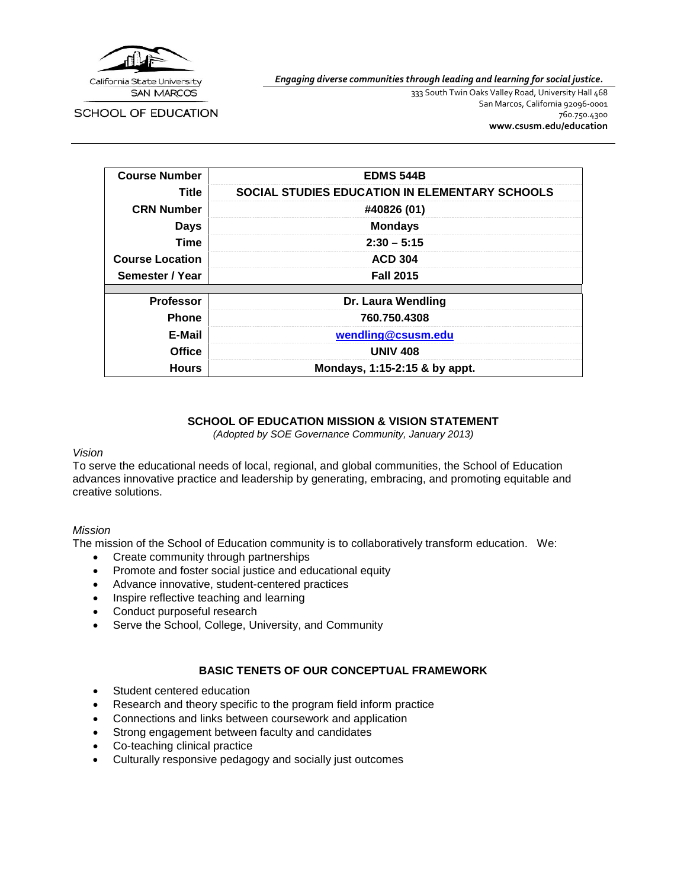

*Engaging diverse communities through leading and learning for social justice.*

**SCHOOL OF EDUCATION** 

333 South Twin Oaks Valley Road, University Hall 468 San Marcos, California 92096-0001 760.750.4300 **[www.csusm.edu/education](http://www.csusm.edu/education)**

| <b>Course Number</b>   | <b>EDMS 544B</b>                                      |  |  |
|------------------------|-------------------------------------------------------|--|--|
| Title                  | <b>SOCIAL STUDIES EDUCATION IN ELEMENTARY SCHOOLS</b> |  |  |
| <b>CRN Number</b>      | #40826 (01)                                           |  |  |
| <b>Days</b>            | <b>Mondays</b>                                        |  |  |
| <b>Time</b>            | $2:30 - 5:15$                                         |  |  |
| <b>Course Location</b> | <b>ACD 304</b>                                        |  |  |
| Semester / Year        | <b>Fall 2015</b>                                      |  |  |
|                        |                                                       |  |  |
| <b>Professor</b>       | Dr. Laura Wendling                                    |  |  |
| <b>Phone</b>           | 760.750.4308                                          |  |  |
| E-Mail                 | wendling@csusm.edu                                    |  |  |
| <b>Office</b>          | <b>UNIV 408</b>                                       |  |  |
| <b>Hours</b>           | Mondays, 1:15-2:15 & by appt.                         |  |  |

## **SCHOOL OF EDUCATION MISSION & VISION STATEMENT**

*(Adopted by SOE Governance Community, January 2013)*

#### *Vision*

To serve the educational needs of local, regional, and global communities, the School of Education advances innovative practice and leadership by generating, embracing, and promoting equitable and creative solutions.

#### *Mission*

The mission of the School of Education community is to collaboratively transform education. We:

- Create community through partnerships
- Promote and foster social justice and educational equity
- Advance innovative, student-centered practices
- Inspire reflective teaching and learning
- Conduct purposeful research
- Serve the School, College, University, and Community

#### **BASIC TENETS OF OUR CONCEPTUAL FRAMEWORK**

- Student centered education
- Research and theory specific to the program field inform practice
- Connections and links between coursework and application
- Strong engagement between faculty and candidates
- Co-teaching clinical practice
- Culturally responsive pedagogy and socially just outcomes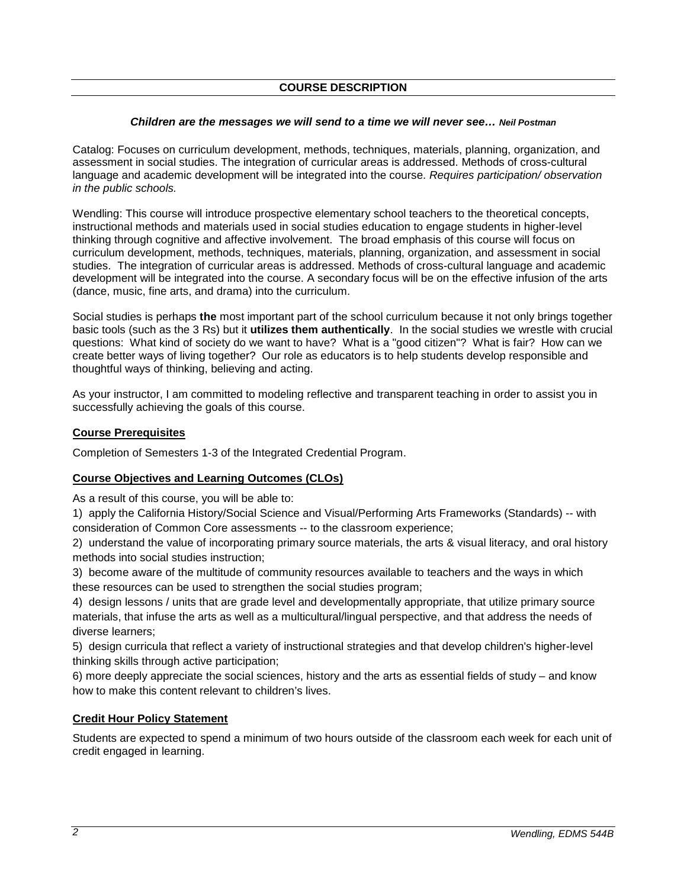#### **COURSE DESCRIPTION**

#### *Children are the messages we will send to a time we will never see… Neil Postman*

Catalog: Focuses on curriculum development, methods, techniques, materials, planning, organization, and assessment in social studies. The integration of curricular areas is addressed. Methods of cross-cultural language and academic development will be integrated into the course. *Requires participation/ observation in the public schools.*

Wendling: This course will introduce prospective elementary school teachers to the theoretical concepts, instructional methods and materials used in social studies education to engage students in higher-level thinking through cognitive and affective involvement. The broad emphasis of this course will focus on curriculum development, methods, techniques, materials, planning, organization, and assessment in social studies. The integration of curricular areas is addressed. Methods of cross-cultural language and academic development will be integrated into the course. A secondary focus will be on the effective infusion of the arts (dance, music, fine arts, and drama) into the curriculum.

Social studies is perhaps **the** most important part of the school curriculum because it not only brings together basic tools (such as the 3 Rs) but it **utilizes them authentically**. In the social studies we wrestle with crucial questions: What kind of society do we want to have? What is a "good citizen"? What is fair? How can we create better ways of living together? Our role as educators is to help students develop responsible and thoughtful ways of thinking, believing and acting.

As your instructor, I am committed to modeling reflective and transparent teaching in order to assist you in successfully achieving the goals of this course.

#### **Course Prerequisites**

Completion of Semesters 1-3 of the Integrated Credential Program.

#### **Course Objectives and Learning Outcomes (CLOs)**

As a result of this course, you will be able to:

1) apply the California History/Social Science and Visual/Performing Arts Frameworks (Standards) -- with consideration of Common Core assessments -- to the classroom experience;

2) understand the value of incorporating primary source materials, the arts & visual literacy, and oral history methods into social studies instruction;

3) become aware of the multitude of community resources available to teachers and the ways in which these resources can be used to strengthen the social studies program;

4) design lessons / units that are grade level and developmentally appropriate, that utilize primary source materials, that infuse the arts as well as a multicultural/lingual perspective, and that address the needs of diverse learners;

5) design curricula that reflect a variety of instructional strategies and that develop children's higher-level thinking skills through active participation;

6) more deeply appreciate the social sciences, history and the arts as essential fields of study – and know how to make this content relevant to children's lives.

#### **Credit Hour Policy Statement**

Students are expected to spend a minimum of two hours outside of the classroom each week for each unit of credit engaged in learning.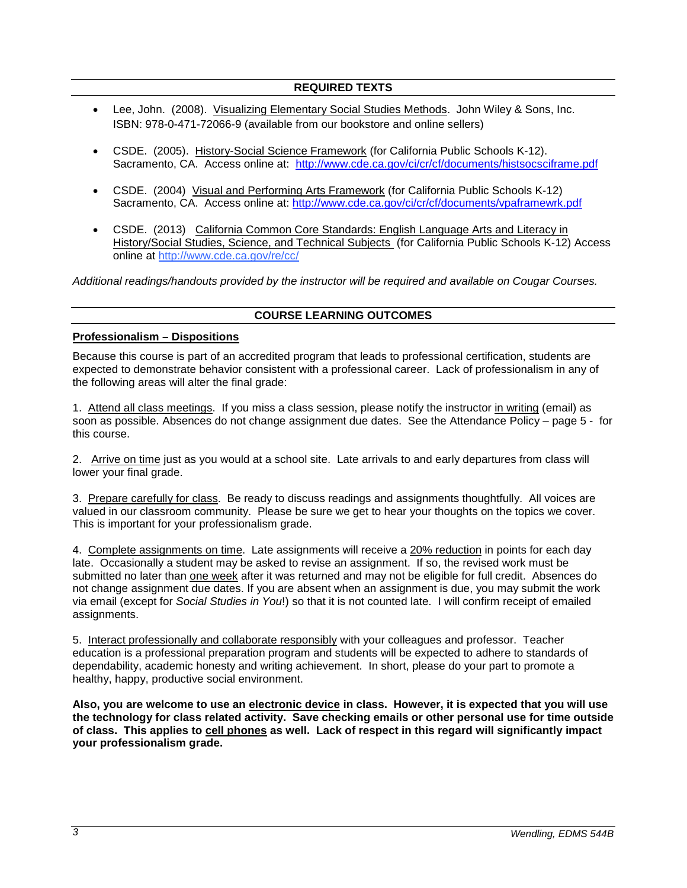- Lee, John. (2008). Visualizing Elementary Social Studies Methods. John Wiley & Sons, Inc. ISBN: 978-0-471-72066-9 (available from our bookstore and online sellers)
- CSDE. (2005). History-Social Science Framework (for California Public Schools K-12). Sacramento, CA. Access online at: <http://www.cde.ca.gov/ci/cr/cf/documents/histsocsciframe.pdf>
- CSDE. (2004) Visual and Performing Arts Framework (for California Public Schools K-12) Sacramento, CA. Access online at:<http://www.cde.ca.gov/ci/cr/cf/documents/vpaframewrk.pdf>
- CSDE. (2013) California Common Core Standards: English Language Arts and Literacy in History/Social Studies, Science, and Technical Subjects (for California Public Schools K-12) Access online at<http://www.cde.ca.gov/re/cc/>

*Additional readings/handouts provided by the instructor will be required and available on Cougar Courses.*

## **COURSE LEARNING OUTCOMES**

## **Professionalism – Dispositions**

Because this course is part of an accredited program that leads to professional certification, students are expected to demonstrate behavior consistent with a professional career. Lack of professionalism in any of the following areas will alter the final grade:

1. Attend all class meetings. If you miss a class session, please notify the instructor in writing (email) as soon as possible. Absences do not change assignment due dates. See the Attendance Policy – page 5 - for this course.

2. Arrive on time just as you would at a school site. Late arrivals to and early departures from class will lower your final grade.

3. Prepare carefully for class. Be ready to discuss readings and assignments thoughtfully. All voices are valued in our classroom community. Please be sure we get to hear your thoughts on the topics we cover. This is important for your professionalism grade.

4. Complete assignments on time. Late assignments will receive a 20% reduction in points for each day late. Occasionally a student may be asked to revise an assignment. If so, the revised work must be submitted no later than one week after it was returned and may not be eligible for full credit. Absences do not change assignment due dates. If you are absent when an assignment is due, you may submit the work via email (except for *Social Studies in You*!) so that it is not counted late. I will confirm receipt of emailed assignments.

5. Interact professionally and collaborate responsibly with your colleagues and professor. Teacher education is a professional preparation program and students will be expected to adhere to standards of dependability, academic honesty and writing achievement. In short, please do your part to promote a healthy, happy, productive social environment.

**Also, you are welcome to use an electronic device in class. However, it is expected that you will use the technology for class related activity. Save checking emails or other personal use for time outside of class. This applies to cell phones as well. Lack of respect in this regard will significantly impact your professionalism grade.**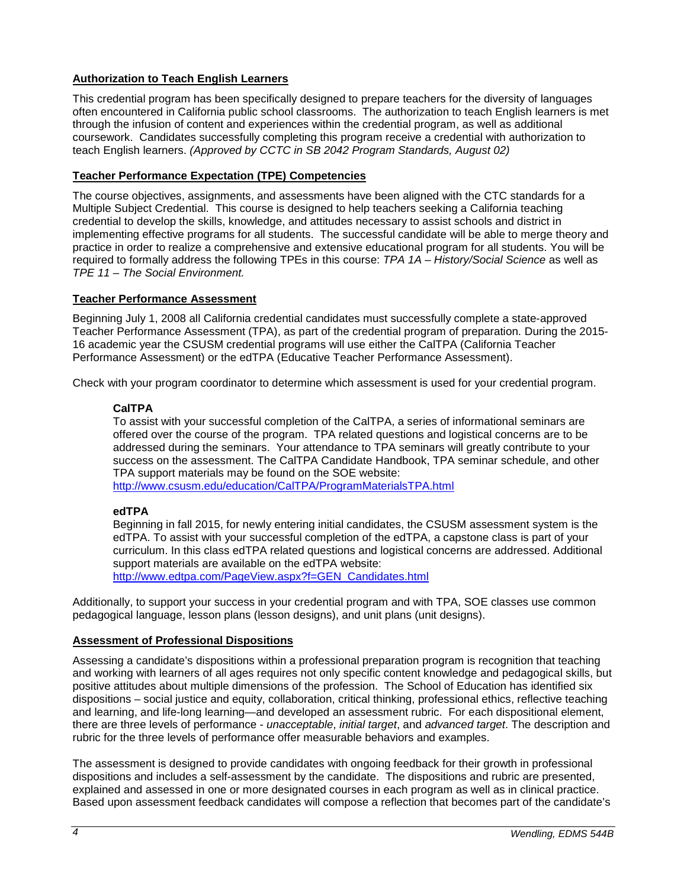## **Authorization to Teach English Learners**

This credential program has been specifically designed to prepare teachers for the diversity of languages often encountered in California public school classrooms. The authorization to teach English learners is met through the infusion of content and experiences within the credential program, as well as additional coursework. Candidates successfully completing this program receive a credential with authorization to teach English learners. *(Approved by CCTC in SB 2042 Program Standards, August 02)*

## **Teacher Performance Expectation (TPE) Competencies**

The course objectives, assignments, and assessments have been aligned with the CTC standards for a Multiple Subject Credential. This course is designed to help teachers seeking a California teaching credential to develop the skills, knowledge, and attitudes necessary to assist schools and district in implementing effective programs for all students. The successful candidate will be able to merge theory and practice in order to realize a comprehensive and extensive educational program for all students. You will be required to formally address the following TPEs in this course: *TPA 1A – History/Social Science* as well as *TPE 11 – The Social Environment.*

## **Teacher Performance Assessment**

Beginning July 1, 2008 all California credential candidates must successfully complete a state-approved Teacher Performance Assessment (TPA), as part of the credential program of preparation. During the 2015- 16 academic year the CSUSM credential programs will use either the CalTPA (California Teacher Performance Assessment) or the edTPA (Educative Teacher Performance Assessment).

Check with your program coordinator to determine which assessment is used for your credential program.

## **CalTPA**

To assist with your successful completion of the CalTPA, a series of informational seminars are offered over the course of the program. TPA related questions and logistical concerns are to be addressed during the seminars. Your attendance to TPA seminars will greatly contribute to your success on the assessment. The CalTPA Candidate Handbook, TPA seminar schedule, and other TPA support materials may be found on the SOE website:

<http://www.csusm.edu/education/CalTPA/ProgramMaterialsTPA.html>

## **edTPA**

Beginning in fall 2015, for newly entering initial candidates, the CSUSM assessment system is the edTPA. To assist with your successful completion of the edTPA, a capstone class is part of your curriculum. In this class edTPA related questions and logistical concerns are addressed. Additional support materials are available on the edTPA website: [http://www.edtpa.com/PageView.aspx?f=GEN\\_Candidates.html](http://www.edtpa.com/PageView.aspx?f=GEN_Candidates.html)

Additionally, to support your success in your credential program and with TPA, SOE classes use common pedagogical language, lesson plans (lesson designs), and unit plans (unit designs).

## **Assessment of Professional Dispositions**

Assessing a candidate's dispositions within a professional preparation program is recognition that teaching and working with learners of all ages requires not only specific content knowledge and pedagogical skills, but positive attitudes about multiple dimensions of the profession. The School of Education has identified six dispositions – social justice and equity, collaboration, critical thinking, professional ethics, reflective teaching and learning, and life-long learning—and developed an assessment rubric. For each dispositional element, there are three levels of performance - *unacceptable*, *initial target*, and *advanced target*. The description and rubric for the three levels of performance offer measurable behaviors and examples.

The assessment is designed to provide candidates with ongoing feedback for their growth in professional dispositions and includes a self-assessment by the candidate. The dispositions and rubric are presented, explained and assessed in one or more designated courses in each program as well as in clinical practice. Based upon assessment feedback candidates will compose a reflection that becomes part of the candidate's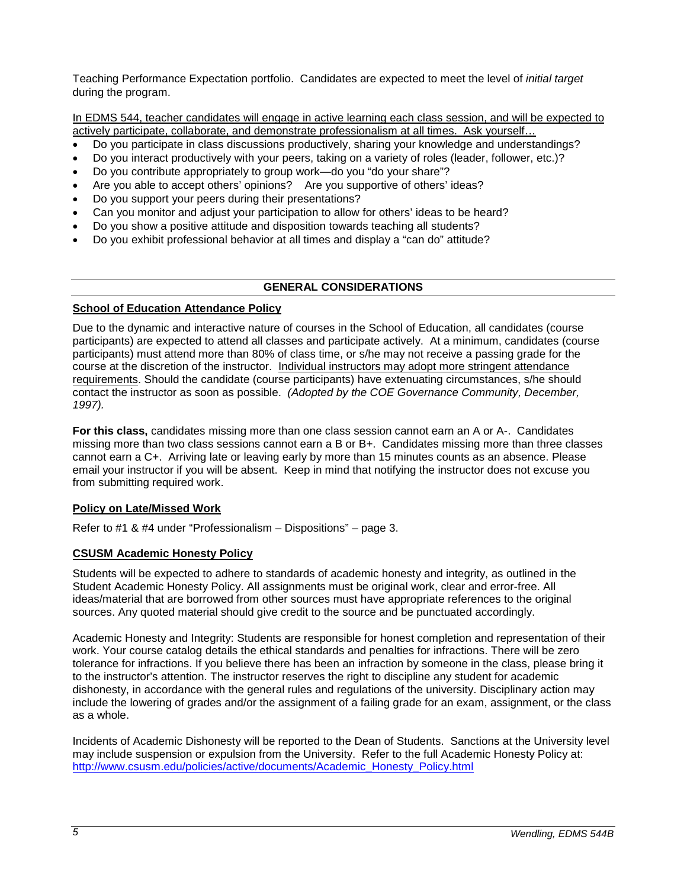Teaching Performance Expectation portfolio. Candidates are expected to meet the level of *initial target* during the program.

In EDMS 544, teacher candidates will engage in active learning each class session, and will be expected to actively participate, collaborate, and demonstrate professionalism at all times. Ask yourself…

- Do you participate in class discussions productively, sharing your knowledge and understandings?
- Do you interact productively with your peers, taking on a variety of roles (leader, follower, etc.)?
- Do you contribute appropriately to group work—do you "do your share"?
- Are you able to accept others' opinions? Are you supportive of others' ideas?
- Do you support your peers during their presentations?
- Can you monitor and adjust your participation to allow for others' ideas to be heard?
- Do you show a positive attitude and disposition towards teaching all students?
- Do you exhibit professional behavior at all times and display a "can do" attitude?

## **GENERAL CONSIDERATIONS**

#### **School of Education Attendance Policy**

Due to the dynamic and interactive nature of courses in the School of Education, all candidates (course participants) are expected to attend all classes and participate actively. At a minimum, candidates (course participants) must attend more than 80% of class time, or s/he may not receive a passing grade for the course at the discretion of the instructor. Individual instructors may adopt more stringent attendance requirements. Should the candidate (course participants) have extenuating circumstances, s/he should contact the instructor as soon as possible. *(Adopted by the COE Governance Community, December, 1997).*

**For this class,** candidates missing more than one class session cannot earn an A or A-. Candidates missing more than two class sessions cannot earn a B or B+. Candidates missing more than three classes cannot earn a C+. Arriving late or leaving early by more than 15 minutes counts as an absence. Please email your instructor if you will be absent. Keep in mind that notifying the instructor does not excuse you from submitting required work.

## **Policy on Late/Missed Work**

Refer to #1 & #4 under "Professionalism – Dispositions" – page 3.

## **CSUSM Academic Honesty Policy**

Students will be expected to adhere to standards of academic honesty and integrity, as outlined in the Student Academic Honesty Policy. All assignments must be original work, clear and error-free. All ideas/material that are borrowed from other sources must have appropriate references to the original sources. Any quoted material should give credit to the source and be punctuated accordingly.

Academic Honesty and Integrity: Students are responsible for honest completion and representation of their work. Your course catalog details the ethical standards and penalties for infractions. There will be zero tolerance for infractions. If you believe there has been an infraction by someone in the class, please bring it to the instructor's attention. The instructor reserves the right to discipline any student for academic dishonesty, in accordance with the general rules and regulations of the university. Disciplinary action may include the lowering of grades and/or the assignment of a failing grade for an exam, assignment, or the class as a whole.

Incidents of Academic Dishonesty will be reported to the Dean of Students. Sanctions at the University level may include suspension or expulsion from the University. Refer to the full Academic Honesty Policy at: [http://www.csusm.edu/policies/active/documents/Academic\\_Honesty\\_Policy.html](http://www.csusm.edu/policies/active/documents/Academic_Honesty_Policy.html)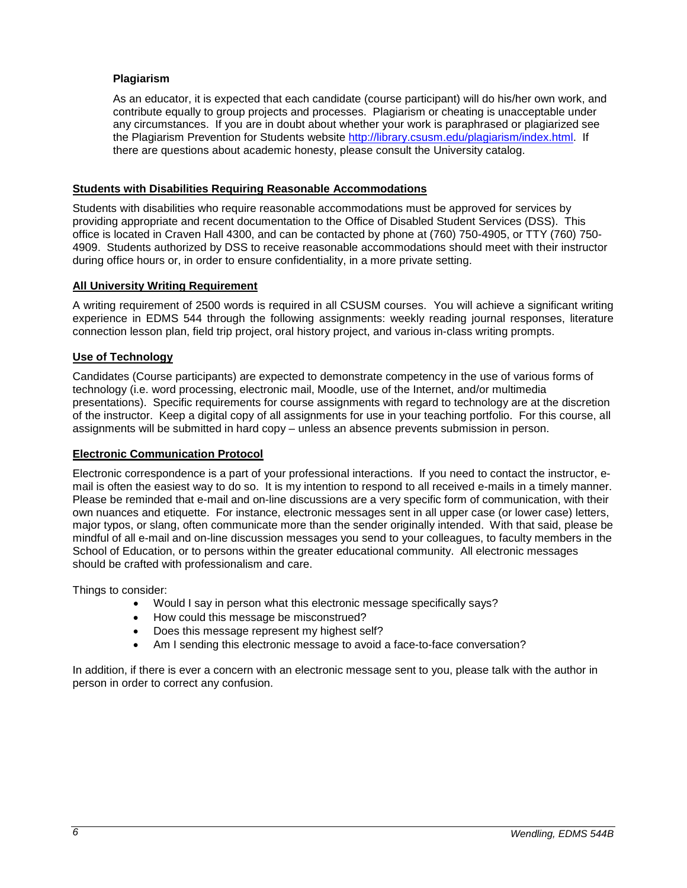## **Plagiarism**

As an educator, it is expected that each candidate (course participant) will do his/her own work, and contribute equally to group projects and processes. Plagiarism or cheating is unacceptable under any circumstances. If you are in doubt about whether your work is paraphrased or plagiarized see the Plagiarism Prevention for Students website [http://library.csusm.edu/plagiarism/index.html.](http://library.csusm.edu/plagiarism/index.html) If there are questions about academic honesty, please consult the University catalog.

## **Students with Disabilities Requiring Reasonable Accommodations**

Students with disabilities who require reasonable accommodations must be approved for services by providing appropriate and recent documentation to the Office of Disabled Student Services (DSS). This office is located in Craven Hall 4300, and can be contacted by phone at (760) 750-4905, or TTY (760) 750- 4909. Students authorized by DSS to receive reasonable accommodations should meet with their instructor during office hours or, in order to ensure confidentiality, in a more private setting.

## **All University Writing Requirement**

A writing requirement of 2500 words is required in all CSUSM courses. You will achieve a significant writing experience in EDMS 544 through the following assignments: weekly reading journal responses, literature connection lesson plan, field trip project, oral history project, and various in-class writing prompts.

## **Use of Technology**

Candidates (Course participants) are expected to demonstrate competency in the use of various forms of technology (i.e. word processing, electronic mail, Moodle, use of the Internet, and/or multimedia presentations). Specific requirements for course assignments with regard to technology are at the discretion of the instructor. Keep a digital copy of all assignments for use in your teaching portfolio. For this course, all assignments will be submitted in hard copy – unless an absence prevents submission in person.

## **Electronic Communication Protocol**

Electronic correspondence is a part of your professional interactions. If you need to contact the instructor, email is often the easiest way to do so. It is my intention to respond to all received e-mails in a timely manner. Please be reminded that e-mail and on-line discussions are a very specific form of communication, with their own nuances and etiquette. For instance, electronic messages sent in all upper case (or lower case) letters, major typos, or slang, often communicate more than the sender originally intended. With that said, please be mindful of all e-mail and on-line discussion messages you send to your colleagues, to faculty members in the School of Education, or to persons within the greater educational community. All electronic messages should be crafted with professionalism and care.

Things to consider:

- Would I say in person what this electronic message specifically says?
- How could this message be misconstrued?
- Does this message represent my highest self?
- Am I sending this electronic message to avoid a face-to-face conversation?

In addition, if there is ever a concern with an electronic message sent to you, please talk with the author in person in order to correct any confusion.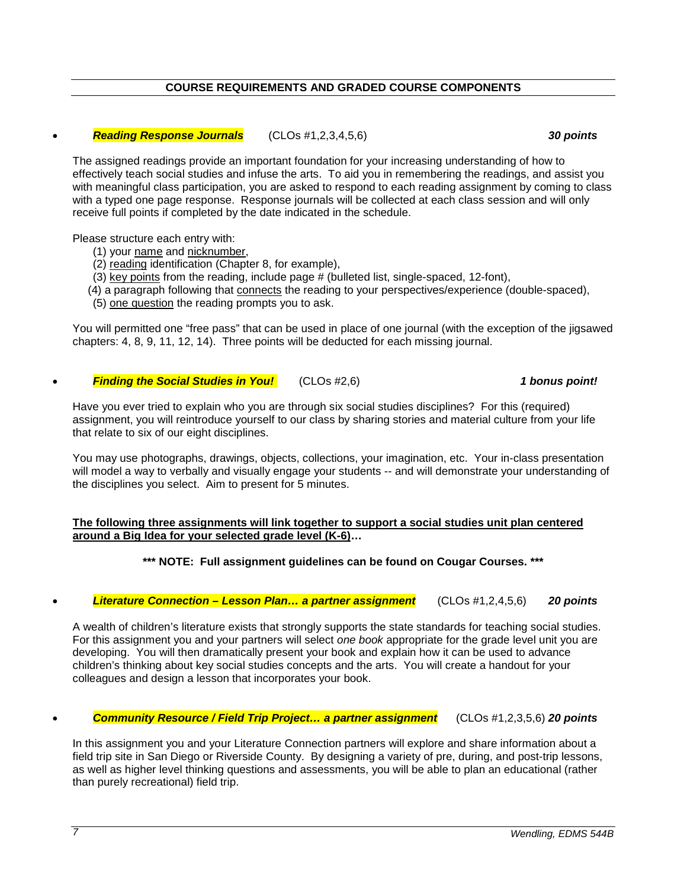## **COURSE REQUIREMENTS AND GRADED COURSE COMPONENTS**

#### • *Reading Response Journals* (CLOs #1,2,3,4,5,6) *30 points*

The assigned readings provide an important foundation for your increasing understanding of how to effectively teach social studies and infuse the arts. To aid you in remembering the readings, and assist you with meaningful class participation, you are asked to respond to each reading assignment by coming to class with a typed one page response. Response journals will be collected at each class session and will only receive full points if completed by the date indicated in the schedule.

Please structure each entry with:

- (1) your name and nicknumber,
- (2) reading identification (Chapter 8, for example),
- (3) key points from the reading, include page # (bulleted list, single-spaced, 12-font),
- (4) a paragraph following that connects the reading to your perspectives/experience (double-spaced),
- (5) one question the reading prompts you to ask.

You will permitted one "free pass" that can be used in place of one journal (with the exception of the jigsawed chapters: 4, 8, 9, 11, 12, 14). Three points will be deducted for each missing journal.

#### • *Finding the Social Studies in You!* (CLOs #2,6) *1 bonus point!*

Have you ever tried to explain who you are through six social studies disciplines? For this (required) assignment, you will reintroduce yourself to our class by sharing stories and material culture from your life that relate to six of our eight disciplines.

You may use photographs, drawings, objects, collections, your imagination, etc. Your in-class presentation will model a way to verbally and visually engage your students -- and will demonstrate your understanding of the disciplines you select. Aim to present for 5 minutes.

#### **The following three assignments will link together to support a social studies unit plan centered around a Big Idea for your selected grade level (K-6)…**

**\*\*\* NOTE: Full assignment guidelines can be found on Cougar Courses. \*\*\***

• *Literature Connection – Lesson Plan… a partner assignment* (CLOs #1,2,4,5,6) *20 points*

A wealth of children's literature exists that strongly supports the state standards for teaching social studies. For this assignment you and your partners will select *one book* appropriate for the grade level unit you are developing. You will then dramatically present your book and explain how it can be used to advance children's thinking about key social studies concepts and the arts. You will create a handout for your colleagues and design a lesson that incorporates your book.

• *Community Resource / Field Trip Project… a partner assignment* (CLOs #1,2,3,5,6) *20 points*

In this assignment you and your Literature Connection partners will explore and share information about a field trip site in San Diego or Riverside County. By designing a variety of pre, during, and post-trip lessons, as well as higher level thinking questions and assessments, you will be able to plan an educational (rather than purely recreational) field trip.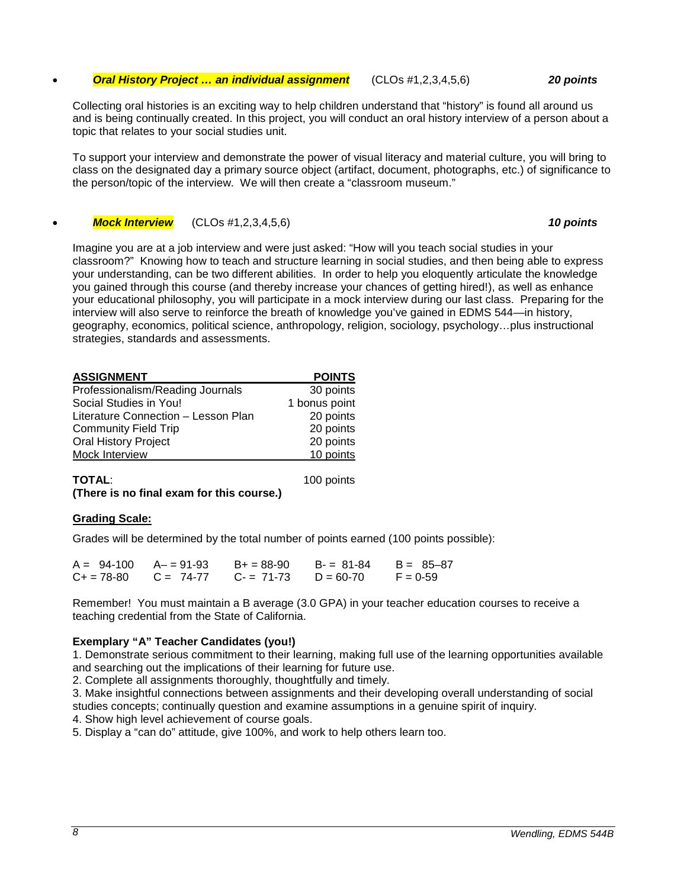#### • *Oral History Project … an individual assignment* (CLOs #1,2,3,4,5,6) *20 points*

Collecting oral histories is an exciting way to help children understand that "history" is found all around us and is being continually created. In this project, you will conduct an oral history interview of a person about a topic that relates to your social studies unit.

To support your interview and demonstrate the power of visual literacy and material culture, you will bring to class on the designated day a primary source object (artifact, document, photographs, etc.) of significance to the person/topic of the interview. We will then create a "classroom museum."

• *Mock Interview* (CLOs #1,2,3,4,5,6) *10 points*

Imagine you are at a job interview and were just asked: "How will you teach social studies in your classroom?" Knowing how to teach and structure learning in social studies, and then being able to express your understanding, can be two different abilities. In order to help you eloquently articulate the knowledge you gained through this course (and thereby increase your chances of getting hired!), as well as enhance your educational philosophy, you will participate in a mock interview during our last class. Preparing for the interview will also serve to reinforce the breath of knowledge you've gained in EDMS 544—in history, geography, economics, political science, anthropology, religion, sociology, psychology…plus instructional strategies, standards and assessments.

| <b>ASSIGNMENT</b>                   | <b>POINTS</b> |
|-------------------------------------|---------------|
| Professionalism/Reading Journals    | 30 points     |
| Social Studies in You!              | 1 bonus point |
| Literature Connection - Lesson Plan | 20 points     |
| <b>Community Field Trip</b>         | 20 points     |
| <b>Oral History Project</b>         | 20 points     |
| Mock Interview                      | 10 points     |
|                                     |               |

**TOTAL**: 100 points **(There is no final exam for this course.)**

## **Grading Scale:**

Grades will be determined by the total number of points earned (100 points possible):

| $A = 94-100$ $A = 91-93$ |             | $B+ = 88-90$ | B- = 81-84  | $B = 85 - 87$ |
|--------------------------|-------------|--------------|-------------|---------------|
| $C_{+}$ = 78-80          | $C = 74-77$ | $C = 71-73$  | $D = 60-70$ | $F = 0.59$    |

Remember! You must maintain a B average (3.0 GPA) in your teacher education courses to receive a teaching credential from the State of California.

## **Exemplary "A" Teacher Candidates (you!)**

1. Demonstrate serious commitment to their learning, making full use of the learning opportunities available and searching out the implications of their learning for future use.

2. Complete all assignments thoroughly, thoughtfully and timely.

3. Make insightful connections between assignments and their developing overall understanding of social studies concepts; continually question and examine assumptions in a genuine spirit of inquiry.

4. Show high level achievement of course goals.

5. Display a "can do" attitude, give 100%, and work to help others learn too.